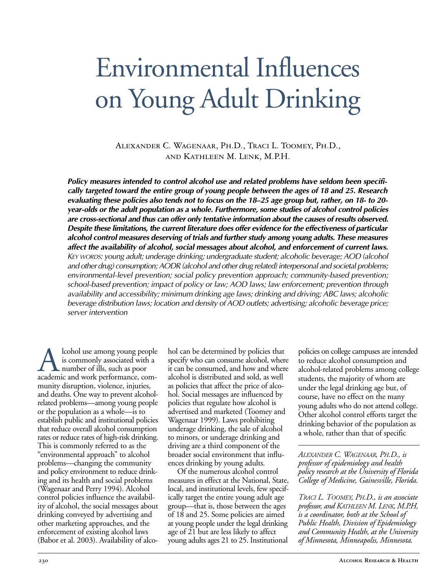# Environmental Influences on Young Adult Drinking

Alexander C. Wagenaar, Ph.D., Traci L. Toomey, Ph.D., and Kathleen M. Lenk, M.P.H.

*Policy measures intended to control alcohol use and related problems have seldom been specifically targeted toward the entire group of young people between the ages of 18 and 25. Research evaluating these policies also tends not to focus on the 18–25 age group but, rather, on 18 to 20 year-olds or the adult population as a whole. Furthermore, some studies of alcohol control policies are crosssectional and thus can offer only tentative information about the causes of results observed. Despite these limitations, the current literature does offer evidence for the effectiveness of particular alcohol control measures deserving of trials and further study among young adults. These measures affect the availability of alcohol, social messages about alcohol, and enforcement of current laws. KEY WORDS: young adult; underage drinking; undergraduate student; alcoholic beverage; AOD (alcohol and other drug) consumption; AODR (alcohol and other drug related) interpersonal and societal problems;* environmental-level prevention; social policy prevention approach; community-based prevention; *school-based prevention; impact of policy or law; AOD laws; law enforcement; prevention through availability and accessibility; minimum drinking age laws; drinking and driving; ABC laws; alcoholic beverage distribution laws; location and density of AOD outlets; advertising; alcoholic beverage price; server intervention*

A lcohol use among young people<br>is commonly associated with a<br>academic and work performance, comis commonly associated with a number of ills, such as poor munity disruption, violence, injuries, and deaths. One way to prevent alcoholrelated problems—among young people or the population as a whole—is to establish public and institutional policies that reduce overall alcohol consumption rates or reduce rates of high-risk drinking. This is commonly referred to as the "environmental approach" to alcohol problems—changing the community and policy environment to reduce drinking and its health and social problems (Wagenaar and Perry 1994). Alcohol control policies influence the availability of alcohol, the social messages about drinking conveyed by advertising and other marketing approaches, and the enforcement of existing alcohol laws (Babor et al. 2003). Availability of alco-

hol can be determined by policies that specify who can consume alcohol, where it can be consumed, and how and where alcohol is distributed and sold, as well as policies that affect the price of alcohol. Social messages are influenced by policies that regulate how alcohol is advertised and marketed (Toomey and Wagenaar 1999). Laws prohibiting underage drinking, the sale of alcohol to minors, or underage drinking and driving are a third component of the broader social environment that influences drinking by young adults.

Of the numerous alcohol control measures in effect at the National, State, local, and institutional levels, few specifically target the entire young adult age group—that is, those between the ages of 18 and 25. Some policies are aimed at young people under the legal drinking age of 21 but are less likely to affect young adults ages 21 to 25. Institutional

policies on college campuses are intended to reduce alcohol consumption and alcohol-related problems among college students, the majority of whom are under the legal drinking age but, of course, have no effect on the many young adults who do not attend college. Other alcohol control efforts target the drinking behavior of the population as a whole, rather than that of specific

*ALEXANDER C. WAGENAAR, PH.D., is professor of epidemiology and health policy research at the University of Florida College of Medicine, Gainesville, Florida.* 

*TRACI L. TOOMEY, PH.D., is an associate professor, and KATHLEEN M. LENK, M.P.H, is a coordinator, both at the School of Public Health, Division of Epidemiology and Community Health, at the University of Minnesota, Minneapolis, Minnesota.*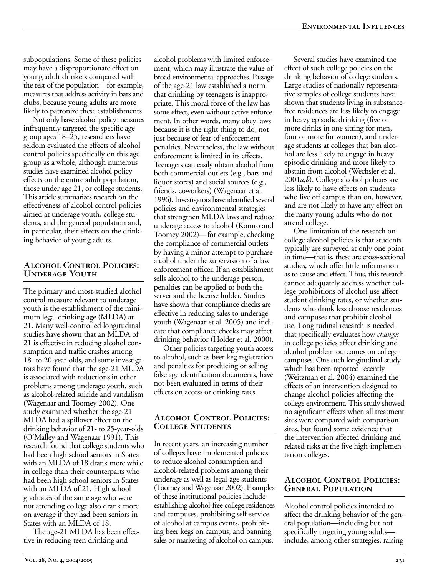subpopulations. Some of these policies may have a disproportionate effect on young adult drinkers compared with the rest of the population—for example, measures that address activity in bars and clubs, because young adults are more likely to patronize these establishments.

Not only have alcohol policy measures infrequently targeted the specific age group ages 18–25, researchers have seldom evaluated the effects of alcohol control policies specifically on this age group as a whole, although numerous studies have examined alcohol policy effects on the entire adult population, those under age 21, or college students. This article summarizes research on the effectiveness of alcohol control policies aimed at underage youth, college students, and the general population and, in particular, their effects on the drinking behavior of young adults.

# **Alcohol Control Policies: Underage Youth**

The primary and most-studied alcohol control measure relevant to underage youth is the establishment of the minimum legal drinking age (MLDA) at 21. Many well-controlled longitudinal studies have shown that an MLDA of 21 is effective in reducing alcohol consumption and traffic crashes among 18- to 20-year-olds, and some investigators have found that the age-21 MLDA is associated with reductions in other problems among underage youth, such as alcohol-related suicide and vandalism (Wagenaar and Toomey 2002). One study examined whether the age-21 MLDA had a spillover effect on the drinking behavior of 21- to 25-year-olds (O'Malley and Wagenaar 1991). This research found that college students who had been high school seniors in States with an MLDA of 18 drank more while in college than their counterparts who had been high school seniors in States with an MLDA of 21. High school graduates of the same age who were not attending college also drank more on average if they had been seniors in States with an MLDA of 18.

The age-21 MLDA has been effective in reducing teen drinking and

alcohol problems with limited enforcement, which may illustrate the value of broad environmental approaches. Passage of the age21 law established a norm that drinking by teenagers is inappropriate. This moral force of the law has some effect, even without active enforcement. In other words, many obey laws because it is the right thing to do, not just because of fear of enforcement penalties. Nevertheless, the law without enforcement is limited in its effects. Teenagers can easily obtain alcohol from both commercial outlets (e.g., bars and liquor stores) and social sources (e.g., friends, coworkers) (Wagenaar et al. 1996). Investigators have identified several policies and environmental strategies that strengthen MLDA laws and reduce underage access to alcohol (Komro and Toomey 2002)—for example, checking the compliance of commercial outlets by having a minor attempt to purchase alcohol under the supervision of a law enforcement officer. If an establishment sells alcohol to the underage person, penalties can be applied to both the server and the license holder. Studies have shown that compliance checks are effective in reducing sales to underage youth (Wagenaar et al. 2005) and indicate that compliance checks may affect drinking behavior (Holder et al. 2000).

Other policies targeting youth access to alcohol, such as beer keg registration and penalties for producing or selling false age identification documents, have not been evaluated in terms of their effects on access or drinking rates.

### **Alcohol Control Policies: College Students**

In recent years, an increasing number of colleges have implemented policies to reduce alcohol consumption and alcohol-related problems among their underage as well as legal-age students (Toomey and Wagenaar 2002). Examples of these institutional policies include establishing alcohol-free college residences and campuses, prohibiting self-service of alcohol at campus events, prohibiting beer kegs on campus, and banning sales or marketing of alcohol on campus.

Several studies have examined the effect of such college policies on the drinking behavior of college students. Large studies of nationally representative samples of college students have shown that students living in substancefree residences are less likely to engage in heavy episodic drinking (five or more drinks in one sitting for men, four or more for women), and underage students at colleges that ban alcohol are less likely to engage in heavy episodic drinking and more likely to abstain from alcohol (Wechsler et al. 2001*a*,*b*). College alcohol policies are less likely to have effects on students who live off campus than on, however, and are not likely to have any effect on the many young adults who do not attend college.

One limitation of the research on college alcohol policies is that students typically are surveyed at only one point in time—that is, these are cross-sectional studies, which offer little information as to cause and effect. Thus, this research cannot adequately address whether college prohibitions of alcohol use affect student drinking rates, or whether students who drink less choose residences and campuses that prohibit alcohol use. Longitudinal research is needed that specifically evaluates how *changes* in college policies affect drinking and alcohol problem outcomes on college campuses. One such longitudinal study which has been reported recently (Weitzman et al. 2004) examined the effects of an intervention designed to change alcohol policies affecting the college environment. This study showed no significant effects when all treatment sites were compared with comparison sites, but found some evidence that the intervention affected drinking and related risks at the five high-implementation colleges.

#### **Alcohol Control Policies: General Population**

Alcohol control policies intended to affect the drinking behavior of the general population—including but not specifically targeting young adults include, among other strategies, raising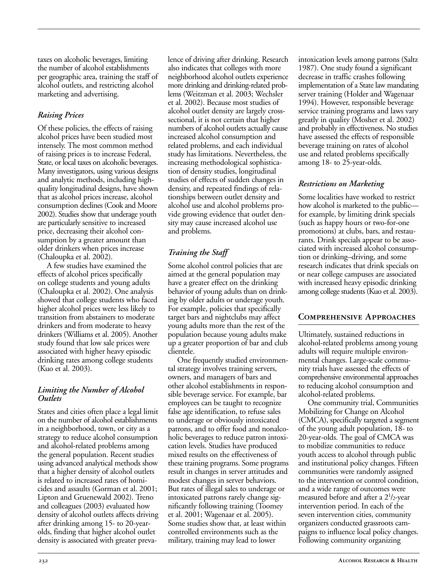taxes on alcoholic beverages, limiting the number of alcohol establishments per geographic area, training the staff of alcohol outlets, and restricting alcohol marketing and advertising.

# *Raising Prices*

Of these policies, the effects of raising alcohol prices have been studied most intensely. The most common method of raising prices is to increase Federal, State, or local taxes on alcoholic beverages. Many investigators, using various designs and analytic methods, including highquality longitudinal designs, have shown that as alcohol prices increase, alcohol consumption declines (Cook and Moore 2002). Studies show that underage youth are particularly sensitive to increased price, decreasing their alcohol consumption by a greater amount than older drinkers when prices increase (Chaloupka et al. 2002).

A few studies have examined the effects of alcohol prices specifically on college students and young adults (Chaloupka et al. 2002). One analysis showed that college students who faced higher alcohol prices were less likely to transition from abstainers to moderate drinkers and from moderate to heavy drinkers (Williams et al. 2005). Another study found that low sale prices were associated with higher heavy episodic drinking rates among college students (Kuo et al. 2003).

#### *Limiting the Number of Alcohol Outlets*

States and cities often place a legal limit on the number of alcohol establishments in a neighborhood, town, or city as a strategy to reduce alcohol consumption and alcohol-related problems among the general population. Recent studies using advanced analytical methods show that a higher density of alcohol outlets is related to increased rates of homicides and assaults (Gorman et al. 2001; Lipton and Gruenewald 2002). Treno and colleagues (2003) evaluated how density of alcohol outlets affects driving after drinking among 15- to 20-yearolds, finding that higher alcohol outlet density is associated with greater prevalence of driving after drinking. Research also indicates that colleges with more neighborhood alcohol outlets experience more drinking and drinking-related problems (Weitzman et al. 2003; Wechsler et al. 2002). Because most studies of alcohol outlet density are largely crosssectional, it is not certain that higher numbers of alcohol outlets actually cause increased alcohol consumption and related problems, and each individual study has limitations. Nevertheless, the increasing methodological sophistication of density studies, longitudinal studies of effects of sudden changes in density, and repeated findings of relationships between outlet density and alcohol use and alcohol problems provide growing evidence that outlet density may cause increased alcohol use and problems.

# *Training the Staff*

Some alcohol control policies that are aimed at the general population may have a greater effect on the drinking behavior of young adults than on drinking by older adults or underage youth. For example, policies that specifically target bars and nightclubs may affect young adults more than the rest of the population because young adults make up a greater proportion of bar and club clientele.

One frequently studied environmental strategy involves training servers, owners, and managers of bars and other alcohol establishments in responsible beverage service. For example, bar employees can be taught to recognize false age identification, to refuse sales to underage or obviously intoxicated patrons, and to offer food and nonalcoholic beverages to reduce patron intoxication levels. Studies have produced mixed results on the effectiveness of these training programs. Some programs result in changes in server attitudes and modest changes in server behaviors. But rates of illegal sales to underage or intoxicated patrons rarely change significantly following training (Toomey et al. 2001; Wagenaar et al. 2005). Some studies show that, at least within controlled environments such as the military, training may lead to lower

intoxication levels among patrons (Saltz 1987). One study found a significant decrease in traffic crashes following implementation of a State law mandating server training (Holder and Wagenaar 1994). However, responsible beverage service training programs and laws vary greatly in quality (Mosher et al. 2002) and probably in effectiveness. No studies have assessed the effects of responsible beverage training on rates of alcohol use and related problems specifically among 18- to 25-year-olds.

# *Restrictions on Marketing*

Some localities have worked to restrict how alcohol is marketed to the public for example, by limiting drink specials (such as happy hours or two-for-one promotions) at clubs, bars, and restaurants. Drink specials appear to be associated with increased alcohol consumption or drinking–driving, and some research indicates that drink specials on or near college campuses are associated with increased heavy episodic drinking among college students (Kuo et al. 2003).

# **Comprehensive Approaches**

Ultimately, sustained reductions in alcohol-related problems among young adults will require multiple environmental changes. Large-scale community trials have assessed the effects of comprehensive environmental approaches to reducing alcohol consumption and alcohol-related problems.

One community trial, Communities Mobilizing for Change on Alcohol (CMCA), specifically targeted a segment of the young adult population, 18- to 20-year-olds. The goal of CMCA was to mobilize communities to reduce youth access to alcohol through public and institutional policy changes. Fifteen communities were randomly assigned to the intervention or control condition, and a wide range of outcomes were measured before and after a 2<sup>1</sup>/2-year intervention period. In each of the seven intervention cities, community organizers conducted grassroots campaigns to influence local policy changes. Following community organizing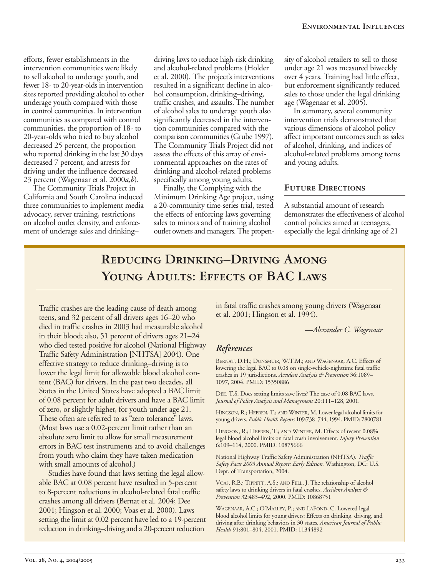efforts, fewer establishments in the intervention communities were likely to sell alcohol to underage youth, and fewer 18- to 20-year-olds in intervention sites reported providing alcohol to other underage youth compared with those in control communities. In intervention communities as compared with control communities, the proportion of 18- to 20-year-olds who tried to buy alcohol decreased 25 percent, the proportion who reported drinking in the last 30 days decreased 7 percent, and arrests for driving under the influence decreased 23 percent (Wagenaar et al. 2000*a,b*).

The Community Trials Project in California and South Carolina induced three communities to implement media advocacy, server training, restrictions on alcohol outlet density, and enforcement of underage sales and drinking–

driving laws to reduce high-risk drinking and alcohol-related problems (Holder et al. 2000). The project's interventions resulted in a significant decline in alcohol consumption, drinking–driving, traffic crashes, and assaults. The number of alcohol sales to underage youth also significantly decreased in the intervention communities compared with the comparison communities (Grube 1997). The Community Trials Project did not assess the effects of this array of environmental approaches on the rates of drinking and alcohol-related problems specifically among young adults.

Finally, the Complying with the Minimum Drinking Age project, using a 20-community time-series trial, tested the effects of enforcing laws governing sales to minors and of training alcohol outlet owners and managers. The propen-

sity of alcohol retailers to sell to those under age 21 was measured biweekly over 4 years. Training had little effect, but enforcement significantly reduced sales to those under the legal drinking age (Wagenaar et al. 2005).

In summary, several community intervention trials demonstrated that various dimensions of alcohol policy affect important outcomes such as sales of alcohol, drinking, and indices of alcohol-related problems among teens and young adults.

#### **Future Directions**

A substantial amount of research demonstrates the effectiveness of alcohol control policies aimed at teenagers, especially the legal drinking age of 21

# **Reducing Drinking–Driving Among**  YOUNG ADULTS: EFFECTS OF **BAC LAWS**

Traffic crashes are the leading cause of death among teens, and 32 percent of all drivers ages 16–20 who died in traffic crashes in 2003 had measurable alcohol in their blood; also, 51 percent of drivers ages 21–24 who died tested positive for alcohol (National Highway Traffic Safety Administration [NHTSA] 2004). One effective strategy to reduce drinking–driving is to lower the legal limit for allowable blood alcohol content (BAC) for drivers. In the past two decades, all States in the United States have adopted a BAC limit of 0.08 percent for adult drivers and have a BAC limit of zero, or slightly higher, for youth under age 21. These often are referred to as "zero tolerance" laws. (Most laws use a 0.02-percent limit rather than an absolute zero limit to allow for small measurement errors in BAC test instruments and to avoid challenges from youth who claim they have taken medication with small amounts of alcohol.)

Studies have found that laws setting the legal allowable BAC at 0.08 percent have resulted in 5-percent to 8-percent reductions in alcohol-related fatal traffic crashes among all drivers (Bernat et al. 2004; Dee 2001; Hingson et al. 2000; Voas et al. 2000). Laws setting the limit at 0.02 percent have led to a 19-percent reduction in drinking–driving and a 20-percent reduction

in fatal traffic crashes among young drivers (Wagenaar et al. 2001; Hingson et al. 1994).

*—Alexander C. Wagenaar* 

#### *References*

BERNAT, D.H.; DUNSMUIR, W.T.M.; AND WAGENAAR, A.C. Effects of lowering the legal BAC to 0.08 on single-vehicle-nighttime fatal traffic crashes in 19 jurisdictions. *Accident Analysis & Prevention* 36:1089– 1097, 2004. PMID: 15350886

DEE, T.S. Does setting limits save lives? The case of 0.08 BAC laws. *Journal of Policy Analysis and Management* 20:111–128, 2001.

HINGSON, R.; HEEREN, T.; AND WINTER, M. Lower legal alcohol limits for young drivers. *Public Health Reports* 109:738–744, 1994. PMID: 7800781

HINGSON, R.; HEEREN, T.; AND WINTER, M. Effects of recent 0.08% legal blood alcohol limits on fatal crash involvement. *Injury Prevention*  6:109–114, 2000. PMID: 10875666

National Highway Traffic Safety Administration (NHTSA). *Traffic Safety Facts 2003 Annual Report: Early Edition.* Washington, DC: U.S. Dept. of Transportation, 2004.

VOAS, R.B.; TIPPETT, A.S.; AND FELL, J. The relationship of alcohol safety laws to drinking drivers in fatal crashes. *Accident Analysis & Prevention* 32:483–492, 2000. PMID: 10868751

WAGENAAR, A.C.; O'MALLEY, P.; AND LAFOND, C. Lowered legal blood alcohol limits for young drivers: Effects on drinking, driving, and driving after drinking behaviors in 30 states. *American Journal of Public Health* 91:801–804, 2001. PMID: 11344892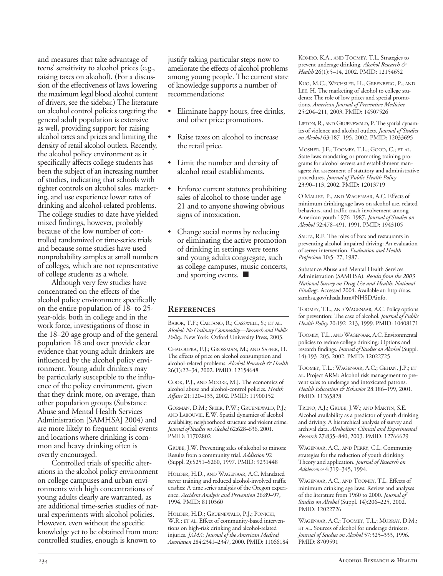and measures that take advantage of teens' sensitivity to alcohol prices (e.g., raising taxes on alcohol). (For a discussion of the effectiveness of laws lowering the maximum legal blood alcohol content of drivers, see the sidebar.) The literature on alcohol control policies targeting the general adult population is extensive as well, providing support for raising alcohol taxes and prices and limiting the density of retail alcohol outlets. Recently, the alcohol policy environment as it specifically affects college students has been the subject of an increasing number of studies, indicating that schools with tighter controls on alcohol sales, marketing, and use experience lower rates of drinking and alcohol-related problems. The college studies to date have yielded mixed findings, however, probably because of the low number of controlled randomized or time-series trials and because some studies have used nonprobability samples at small numbers of colleges, which are not representative of college students as a whole.

Although very few studies have concentrated on the effects of the alcohol policy environment specifically on the entire population of 18- to 25 year-olds, both in college and in the work force, investigations of those in the 18–20 age group and of the general population 18 and over provide clear evidence that young adult drinkers are influenced by the alcohol policy environment. Young adult drinkers may be particularly susceptible to the influence of the policy environment, given that they drink more, on average, than other population groups (Substance Abuse and Mental Health Services Administration [SAMHSA] 2004) and are more likely to frequent social events and locations where drinking is common and heavy drinking often is overtly encouraged.

Controlled trials of specific alterations in the alcohol policy environment on college campuses and urban environments with high concentrations of young adults clearly are warranted, as are additional time-series studies of natural experiments with alcohol policies. However, even without the specific knowledge yet to be obtained from more controlled studies, enough is known to

justify taking particular steps now to ameliorate the effects of alcohol problems among young people. The current state of knowledge supports a number of recommendations:

- Eliminate happy hours, free drinks, and other price promotions.
- Raise taxes on alcohol to increase the retail price.
- Limit the number and density of alcohol retail establishments.
- Enforce current statutes prohibiting sales of alcohol to those under age 21 and to anyone showing obvious signs of intoxication.
- Change social norms by reducing or eliminating the active promotion of drinking in settings were teens and young adults congregate, such as college campuses, music concerts, and sporting events. ■

#### **References**

BABOR, T.F.; CAETANO, R.; CASSWELL, S.; ET AL. *Alcohol: No Ordinary Commodity—Research and Public Policy.* New York: Oxford University Press, 2003.

CHALOUPKA, F.J.; GROSSMAN, M.; AND SAFFER, H. The effects of price on alcohol consumption and alcohol-related problems. *Alcohol Research & Health*  26(1):22–34, 2002. PMID: 12154648

COOK, P.J., AND MOORE, M.J. The economics of alcohol abuse and alcohol-control policies. *Health Affairs* 21:120–133, 2002. PMID: 11900152

GORMAN, D.M.; SPEER, P.W.; GRUENEWALD, P.J.; AND LABOUVIE, E.W. Spatial dynamics of alcohol availability, neighborhood structure and violent crime. *Journal of Studies on Alcohol* 62:628–636, 2001. PMID: 11702802

GRUBE, J.W. Preventing sales of alcohol to minors: Results from a community trial. *Addiction* 92 (Suppl. 2):S251–S260, 1997. PMID: 9231448

HOLDER, H.D., AND WAGENAAR, A.C. Mandated server training and reduced alcohol-involved traffic crashes: A time series analysis of the Oregon experience. *Accident Analysis and Prevention* 26:89–97, 1994. PMID: 8110360

HOLDER, H.D.; GRUENEWALD, P.J.; PONICKI, W.R.; ET AL. Effect of community-based interventions on high-risk drinking and alcohol-related injuries. *JAMA: Journal of the American Medical Association* 284:2341–2347, 2000. PMID: 11066184 KOMRO, K.A., AND TOOMEY, T.L. Strategies to prevent underage drinking. *Alcohol Research & Health* 26(1):5–14, 2002. PMID: 12154652

KUO, M.C.; WECHSLER, H.; GREENBERG, P.; AND LEE, H. The marketing of alcohol to college students: The role of low prices and special promotions. *American Journal of Preventive Medicine*  25:204–211, 2003. PMID: 14507526

LIPTON, R., AND GRUENEWALD, P. The spatial dynamics of violence and alcohol outlets. *Journal of Studies on Alcohol* 63:187–195, 2002. PMID: 12033695

MOSHER, J.F.; TOOMEY, T.L.; GOOD, C.; ET AL. State laws mandating or promoting training programs for alcohol servers and establishment managers: An assessment of statutory and administrative procedures. *Journal of Public Health Policy*  23:90–113, 2002. PMID: 12013719

O'MALLEY, P., AND WAGENAAR, A.C. Effects of minimum drinking age laws on alcohol use, related behaviors, and traffic crash involvement among American youth 1976–1987. *Journal of Studies on Alcohol* 52:478–491, 1991. PMID: 1943105

SALTZ, R.F. The roles of bars and restaurants in preventing alcohol-impaired driving: An evaluation of server intervention. *Evaluation and Health Professions* 10:5–27, 1987.

Substance Abuse and Mental Health Services Administration (SAMHSA). *Results from the 2003 National Survey on Drug Use and Health: National Findings.* Accessed 2004. Available at: http://oas. samhsa.gov/nhsda.htm#NHSDAinfo.

TOOMEY, T.L., AND WAGENAAR, A.C. Policy options for prevention: The case of alcohol. *Journal of Public Health Policy* 20:192–213, 1999. PMID: 10408171

TOOMEY, T.L., AND WAGENAAR, A.C. Environmental policies to reduce college drinking: Options and research findings. *Journal of Studies on Alcohol* (Suppl. 14):193–205, 2002. PMID: 12022725

TOOMEY, T.L.; WAGENAAR, A.C.; GEHAN, J.P.; ET AL. Project ARM: Alcohol risk management to prevent sales to underage and intoxicated patrons. *Health Education & Behavior* 28:186–199, 2001. PMID: 11265828

TRENO, A.J.; GRUBE, J.W.; AND MARTIN, S.E. Alcohol availability as a predictor of youth drinking and driving: A hierarchical analysis of survey and archival data. *Alcoholism: Clinical and Experimental Research* 27:835–840, 2003. PMID: 12766629

WAGENAAR, A.C., AND PERRY, C.L. Community strategies for the reduction of youth drinking: Theory and application. *Journal of Research on Adolescence* 4:319–345, 1994.

WAGENAAR, A.C., AND TOOMEY, T.L. Effects of minimum drinking age laws: Review and analyses of the literature from 1960 to 2000. *Journal of Studies on Alcohol* (Suppl. 14):206–225, 2002. PMID: 12022726

WAGENAAR, A.C.; TOOMEY, T.L.; MURRAY, D.M.; ET AL. Sources of alcohol for underage drinkers. *Journal of Studies on Alcohol* 57:325–333, 1996. PMID: 8709591